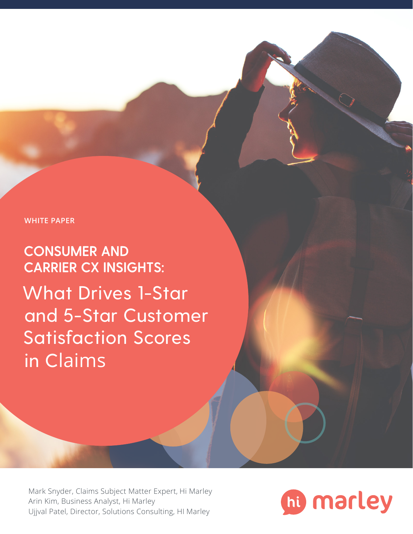**WHITE PAPER**

CONSUMER AND CARRIER CX INSIGHTS: What Drives 1-Star and 5-Star Customer Satisfaction Scores in Claims

Mark [Snyder,](https://www.linkedin.com/in/mark-snyder-bb65176/) Claims Subject Matter Expert, Hi Marley [Arin](https://www.linkedin.com/in/arin-kim-67061412b/) Kim, Business Analyst, Hi Marley [Ujjval Patel](https://www.linkedin.com/in/ujjval-patel-02a55516/), Director, Solutions Consulting, HI Marley

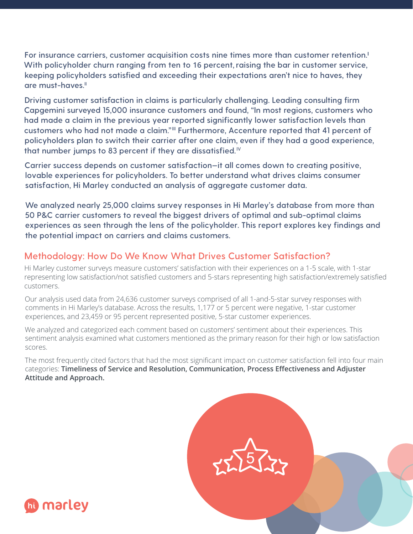**For insurance carriers, customer acquisition costs nine times more than customer retention.<sup>I</sup> With policyholder churn ranging from ten to 16 percent,raising the bar in customer service, keeping policyholders satisfied and exceeding their expectations aren't nice to haves, they are must-haves.II**

**Driving customer satisfaction in claims is particularly challenging. Leading consulting firm Capgemini surveyed 15,000 insurance customers and found, "In most regions, customers who had made a claim in the previous year reported significantly lower satisfaction levels than customers who had not made a claim." III Furthermore, Accenture reported that 41 percent of policyholders plan to switch their carrier after one claim, even if they had a good experience, that number jumps to 83 percent if they are dissatisfied.IV**

**Carrier success depends on customer satisfaction—it all comes down to creating positive, lovable experiences for policyholders. To better understand what drives claims consumer satisfaction, Hi Marley conducted an analysis of aggregate customer data.** 

**We analyzed nearly 25,000 claims survey responses in Hi Marley's database from more than 50 P&C carrier customers to reveal the biggest drivers of optimal and sub-optimal claims experiences as seen through the lens of the policyholder. This report explores key findings and the potential impact on carriers and claims customers.** 

# **Methodology: How Do We Know What Drives Customer Satisfaction?**

Hi Marley customer surveys measure customers' satisfaction with their experiences on a 1-5 scale, with 1-star representing low satisfaction/not satisfied customers and 5-stars representing high satisfaction/extremely satisfied customers.

Our analysis used data from 24,636 customer surveys comprised of all 1-and-5-star survey responses with comments in Hi Marley's database. Across the results, 1,177 or 5 percent were negative, 1-star customer experiences, and 23,459 or 95 percent represented positive, 5-star customer experiences.

We analyzed and categorized each comment based on customers' sentiment about their experiences. This sentiment analysis examined what customers mentioned as the primary reason for their high or low satisfaction scores.

The most frequently cited factors that had the most significant impact on customer satisfaction fell into four main categories: **Timeliness of Service and Resolution, Communication, Process Effectiveness and Adjuster Attitude and Approach.**



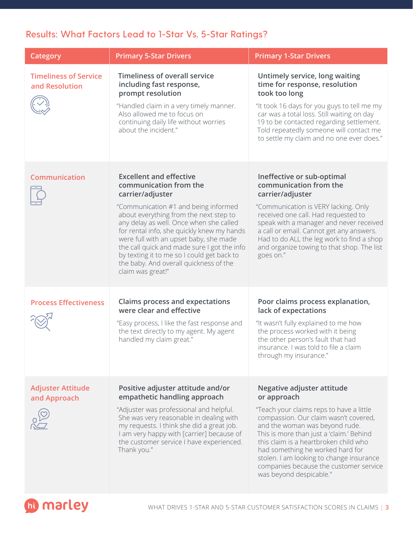# **Results: What Factors Lead to 1-Star Vs. 5-Star Ratings?**

| Category                                       | <b>Primary 5-Star Drivers</b>                                                                                                                                                                                                                                                                                                                                                                                                                                 | <b>Primary 1-Star Drivers</b>                                                                                                                                                                                                                                                                                                                                                                              |
|------------------------------------------------|---------------------------------------------------------------------------------------------------------------------------------------------------------------------------------------------------------------------------------------------------------------------------------------------------------------------------------------------------------------------------------------------------------------------------------------------------------------|------------------------------------------------------------------------------------------------------------------------------------------------------------------------------------------------------------------------------------------------------------------------------------------------------------------------------------------------------------------------------------------------------------|
| <b>Timeliness of Service</b><br>and Resolution | <b>Timeliness of overall service</b><br>including fast response,<br>prompt resolution<br>"Handled claim in a very timely manner.<br>Also allowed me to focus on<br>continuing daily life without worries<br>about the incident."                                                                                                                                                                                                                              | Untimely service, long waiting<br>time for response, resolution<br>took too long<br>"It took 16 days for you guys to tell me my<br>car was a total loss. Still waiting on day<br>19 to be contacted regarding settlement.<br>Told repeatedly someone will contact me<br>to settle my claim and no one ever does."                                                                                          |
| <b>Communication</b>                           | <b>Excellent and effective</b><br>communication from the<br>carrier/adjuster<br>"Communication #1 and being informed<br>about everything from the next step to<br>any delay as well. Once when she called<br>for rental info, she quickly knew my hands<br>were full with an upset baby, she made<br>the call quick and made sure I got the info<br>by texting it to me so I could get back to<br>the baby. And overall quickness of the<br>claim was great!" | Ineffective or sub-optimal<br>communication from the<br>carrier/adjuster<br>"Communication is VERY lacking. Only<br>received one call. Had requested to<br>speak with a manager and never received<br>a call or email. Cannot get any answers.<br>Had to do ALL the leg work to find a shop<br>and organize towing to that shop. The list<br>goes on."                                                     |
| <b>Process Effectiveness</b>                   | <b>Claims process and expectations</b><br>were clear and effective<br>"Easy process, I like the fast response and<br>the text directly to my agent. My agent<br>handled my claim great."                                                                                                                                                                                                                                                                      | Poor claims process explanation,<br>lack of expectations<br>"It wasn't fully explained to me how<br>the process worked with it being<br>the other person's fault that had<br>insurance. I was told to file a claim<br>through my insurance."                                                                                                                                                               |
| <b>Adjuster Attitude</b><br>and Approach       | Positive adjuster attitude and/or<br>empathetic handling approach<br>"Adjuster was professional and helpful.<br>She was very reasonable in dealing with<br>my requests. I think she did a great job.<br>I am very happy with [carrier] because of<br>the customer service I have experienced.<br>Thank you."                                                                                                                                                  | Negative adjuster attitude<br>or approach<br>"Teach your claims reps to have a little<br>compassion. Our claim wasn't covered,<br>and the woman was beyond rude.<br>This is more than just a 'claim.' Behind<br>this claim is a heartbroken child who<br>had something he worked hard for<br>stolen. I am looking to change insurance<br>companies because the customer service<br>was beyond despicable." |

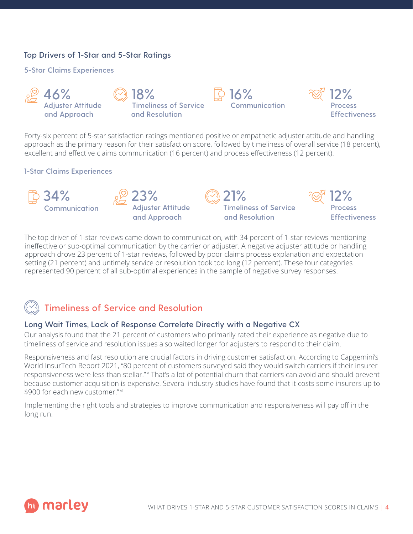## **Top Drivers of 1-Star and 5-Star Ratings**

#### **5-Star Claims Experiences**



Forty-six percent of 5-star satisfaction ratings mentioned positive or empathetic adjuster attitude and handling approach as the primary reason for their satisfaction score, followed by timeliness of overall service (18 percent), excellent and effective claims communication (16 percent) and process effectiveness (12 percent).

#### **1-Star Claims Experiences**



The top driver of 1-star reviews came down to communication, with 34 percent of 1-star reviews mentioning ineffective or sub-optimal communication by the carrier or adjuster. A negative adjuster attitude or handling approach drove 23 percent of 1-star reviews, followed by poor claims process explanation and expectation setting (21 percent) and untimely service or resolution took too long (12 percent). These four categories represented 90 percent of all sub-optimal experiences in the sample of negative survey responses.



# **Timeliness of Service and Resolution**

## **Long Wait Times, Lack of Response Correlate Directly with a Negative CX**

Our analysis found that the 21 percent of customers who primarily rated their experience as negative due to timeliness of service and resolution issues also waited longer for adjusters to respond to their claim.

Responsiveness and fast resolution are crucial factors in driving customer satisfaction. According to Capgemini's World InsurTech Report 2021, "80 percent of customers surveyed said they would switch carriers if their insurer responsiveness were less than stellar." That's a lot of potential churn that carriers can avoid and should prevent because customer acquisition is expensive. Several industry studies have found that it costs some insurers up to \$900 for each new customer."<sup>VI</sup>

Implementing the right tools and strategies to improve communication and responsiveness will pay off in the long run.

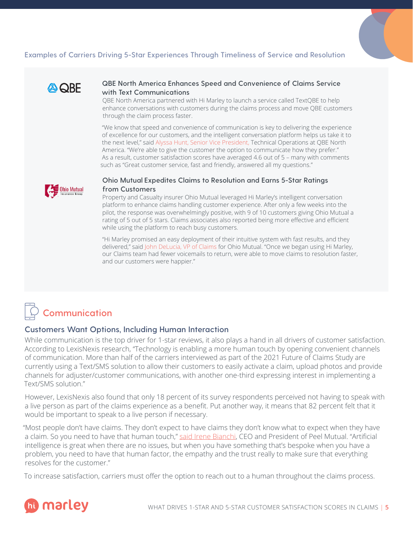## **Examples of Carriers Driving 5-Star Experiences Through Timeliness of Service and Resolution**



#### **QBE North America Enhances Speed and Convenience of Claims Service with Text Communications**

QBE North America partnered with Hi Marley to launch a service called TextQBE to help enhance conversations with customers during the claims process and move QBE customers through the claim process faster.

"We know that speed and convenience of communication is key to delivering the experience of excellence for our customers, and the intelligent conversation platform helps us take it to the next level," [said Alyssa Hunt,](http://www.himarley.com/news/qbe-north-america-enhances-claims-service-with-text-communications-driven-by-artificial-intelligence/) Senior Vice President, Technical Operations at QBE North America. "We're able to give the customer the option to communicate how they prefer." As a result, customer satisfaction scores have averaged 4.6 out of 5 – many with comments such as "Great customer service, fast and friendly, answered all my questions."



#### **Ohio Mutual Expedites Claims to Resolution and Earns 5-Star Ratings from Customers**

Property and Casualty insurer Ohio Mutual leveraged Hi Marley's intelligent conversation platform to enhance claims handling customer experience. After only a few weeks into the pilot, the response was overwhelmingly positive, with 9 of 10 customers giving Ohio Mutual a rating of 5 out of 5 stars. Claims associates also reported being more effective and efficient while using the platform to reach busy customers.

"Hi Marley promised an easy deployment of their intuitive system with fast results, and they delivered," said [John DeLucia, VP of Claims for Ohio Mutual.](http://www.himarley.com/news/ohio-mutual-earns-5-star-ratings-from-customers-following-launch-of-hi-marleys-communication-platform/) "Once we began using Hi Marley, our Claims team had fewer voicemails to return, were able to move claims to resolution faster, and our customers were happier."

# **Communication**

#### **Customers Want Options, Including Human Interaction**

While communication is the top driver for 1-star reviews, it also plays a hand in all drivers of customer satisfaction. According to LexisNexis research, "Technology is enabling a more human touch by opening convenient channels of communication. More than half of the carriers interviewed as part of the 2021 Future of Claims Study are currently using a Text/SMS solution to allow their customers to easily activate a claim, upload photos and provide channels for adjuster/customer communications, with another one-third expressing interest in implementing a Text/SMS solution."

However, LexisNexis also found that only 18 percent of its survey respondents perceived not having to speak with a live person as part of the claims experience as a benefit. Put another way, it means that 82 percent felt that it would be important to speak to a live person if necessary.

"Most people don't have claims. They don't expect to have claims they don't know what to expect when they have a claim. So you need to have that human touch," [said Irene Bianchi](http://guidewireinsurtalk.podbean.com/e/peel-mutual-insurances-irene-bianchi-on-using-ai-to-improve-business-processes/), CEO and President of Peel Mutual. "Artificial intelligence is great when there are no issues, but when you have something that's bespoke when you have a problem, you need to have that human factor, the empathy and the trust really to make sure that everything resolves for the customer."

To increase satisfaction, carriers must offer the option to reach out to a human throughout the claims process.

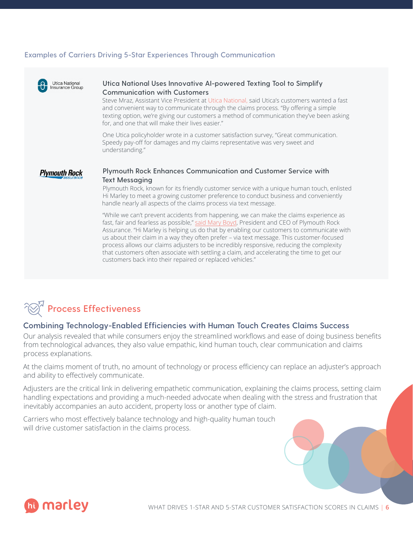#### **Examples of Carriers Driving 5-Star Experiences Through Communication**





#### **Combining Technology-Enabled Efficiencies with Human Touch Creates Claims Success**

Our analysis revealed that while consumers enjoy the streamlined workflows and ease of doing business benefits from technological advances, they also value empathic, kind human touch, clear communication and claims process explanations.

At the claims moment of truth, no amount of technology or process efficiency can replace an adjuster's approach and ability to effectively communicate.

Adjusters are the critical link in delivering empathetic communication, explaining the claims process, setting claim handling expectations and providing a much-needed advocate when dealing with the stress and frustration that inevitably accompanies an auto accident, property loss or another type of claim.

Carriers who most effectively balance technology and high-quality human touch will drive customer satisfaction in the claims process.

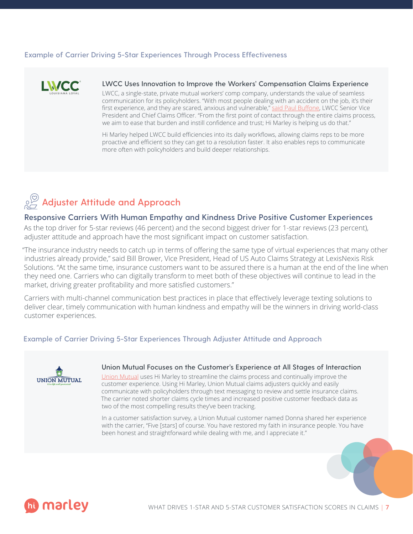#### **Example of Carrier Driving 5-Star Experiences Through Process Effectiveness**



#### **LWCC Uses Innovation to Improve the Workers' Compensation Claims Experience**

LWCC, a single-state, private mutual workers' comp company, understands the value of seamless communication for its policyholders. "With most people dealing with an accident on the job, it's their first experience, and they are scared, anxious and vulnerable," [said Paul Buffone](http://www.himarley.com/news/lwcc-is-using-innovation-to-improve-the-workers-compensation-claims-experience/), LWCC Senior Vice President and Chief Claims Officer. "From the first point of contact through the entire claims process, we aim to ease that burden and instill confidence and trust; Hi Marley is helping us do that."

Hi Marley helped LWCC build efficiencies into its daily workflows, allowing claims reps to be more proactive and efficient so they can get to a resolution faster. It also enables reps to communicate more often with policyholders and build deeper relationships.



#### **Responsive Carriers With Human Empathy and Kindness Drive Positive Customer Experiences**

As the top driver for 5-star reviews (46 percent) and the second biggest driver for 1-star reviews (23 percent), adjuster attitude and approach have the most significant impact on customer satisfaction.

"The insurance industry needs to catch up in terms of offering the same type of virtual experiences that many other industries already provide," said Bill Brower, Vice President, Head of US Auto Claims Strategy at LexisNexis Risk Solutions. "At the same time, insurance customers want to be assured there is a human at the end of the line when they need one. Carriers who can digitally transform to meet both of these objectives will continue to lead in the market, driving greater profitability and more satisfied customers."

Carriers with multi-channel communication best practices in place that effectively leverage texting solutions to deliver clear, timely communication with human kindness and empathy will be the winners in driving world-class customer experiences.

#### **Example of Carrier Driving 5-Star Experiences Through Adjuster Attitude and Approach**



## **Union Mutual Focuses on the Customer's Experience at All Stages of Interaction**

[Union Mutual](http://www.himarley.com/news/union-mutual-partners-with-hi-marley-to-drive-top-down-communications-initiative/) uses Hi Marley to streamline the claims process and continually improve the customer experience. Using Hi Marley, Union Mutual claims adjusters quickly and easily communicate with policyholders through text messaging to review and settle insurance claims. The carrier noted shorter claims cycle times and increased positive customer feedback data as two of the most compelling results they've been tracking.

In a customer satisfaction survey, a Union Mutual customer named Donna shared her experience with the carrier, "Five [stars] of course. You have restored my faith in insurance people. You have been honest and straightforward while dealing with me, and I appreciate it."

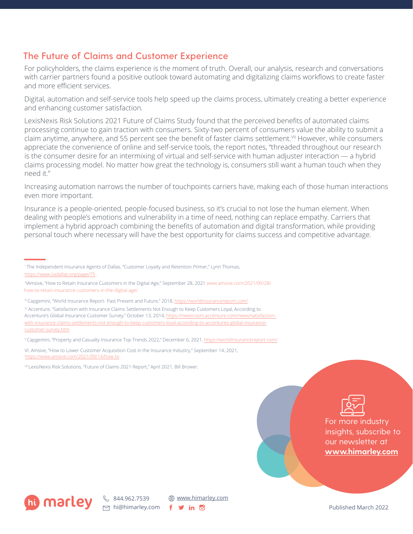# **The Future of Claims and Customer Experience**

For policyholders, the claims experience is the moment of truth. Overall, our analysis, research and conversations with carrier partners found a positive outlook toward automating and digitalizing claims workflows to create faster and more efficient services.

Digital, automation and self-service tools help speed up the claims process, ultimately creating a better experience and enhancing customer satisfaction.

LexisNexis Risk Solutions 2021 Future of Claims Study found that the perceived benefits of automated claims processing continue to gain traction with consumers. Sixty-two percent of consumers value the ability to submit a claim anytime, anywhere, and 55 percent see the benefit of faster claims settlement.<sup>VII</sup> However, while consumers appreciate the convenience of online and self-service tools, the report notes, "threaded throughout our research is the consumer desire for an intermixing of virtual and self-service with human adjuster interaction — a hybrid claims processing model. No matter how great the technology is, consumers still want a human touch when they need it."

Increasing automation narrows the number of touchpoints carriers have, making each of those human interactions even more important.

Insurance is a people-oriented, people-focused business, so it's crucial to not lose the human element. When dealing with people's emotions and vulnerability in a time of need, nothing can replace empathy. Carriers that implement a hybrid approach combining the benefits of automation and digital transformation, while providing personal touch where necessary will have the best opportunity for claims success and competitive advantage.

<sup>V</sup>Capgemini, "Property and Casualty Insurance Top Trends 2022," December 6, 2021. [https://worldinsurancereport.com/](https://worldinsurancereport.com)

VI. Amsive, "How to Lower Customer Acquisition Cost in the Insurance Industry," September 14, 2021, [https://www.amsive.com/2021/09/14/how-to](https://www.amsive.com/2021/09/14/how-to-lower-customer-acquisition-cost-in-the-insurance-industry-amsive/) 

VII LexisNexis Risk Solutions, "Future of Claims 2021 Report," April 2021, Bill Brower.



For more industry insights, subscribe to our newsletter at **<www.himarley.com>**



**\@** www.[himarley.com](https://www.himarley.com) f y in **o** 

Published March 2022

I The Independent Insurance Agents of Dallas, "Customer Loyalty and Retention Primer," Lynn Thomas, <https://www.iiadallas.org/page/75> .

IIIAmsive, "How to Retain Insurance Customers in the Digital Age," September 28, 2021 [www.amsive.com/2021/09/28/](https://www.amsive.com/2021/09/28/how-to-retain-insurance-customers-in-the-digital-age/) [how-to-retain-insurance-customers-in-the-digital-age/](https://www.amsive.com/2021/09/28/how-to-retain-insurance-customers-in-the-digital-age/) 

III Capgemini, "World Insurance Report- Past Present and Future," 2018, https://worldinsurancereport.com/

IV Accenture, "Satisfaction with Insurance Claims Settlements Not Enough to Keep Customers Loyal, According to Accenture's Global Insurance Customer Survey," October 13, 2014, [https://newsroom.accenture.com/news/satisfaction](https://newsroom.accenture.com/news/satisfaction-with-insurance-claims-settlements-not-enough-to-keep-customers-loyal-according-to-accentures-global-insurance-customer-survey.htm)[with-insurance-claims-settlements-not-enough-to-keep-customers-loyal-according-to-accentures-global-insurance](https://newsroom.accenture.com/news/satisfaction-with-insurance-claims-settlements-not-enough-to-keep-customers-loyal-according-to-accentures-global-insurance-customer-survey.htm)[customer-survey.htm](https://newsroom.accenture.com/news/satisfaction-with-insurance-claims-settlements-not-enough-to-keep-customers-loyal-according-to-accentures-global-insurance-customer-survey.htm)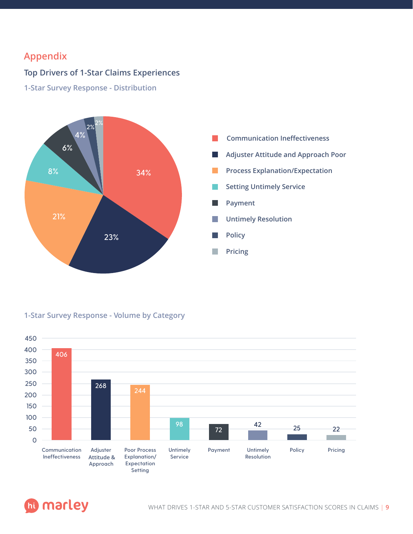# **Appendix**

# **Top Drivers of 1-Star Claims Experiences**

**1-Star Survey Response - Distribution**



#### **1-Star Survey Response - Volume by Category**